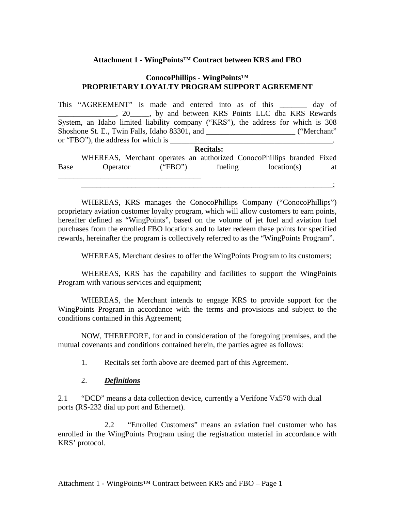#### **Attachment 1 - WingPoints™ Contract between KRS and FBO**

#### **ConocoPhillips - WingPoints™ PROPRIETARY LOYALTY PROGRAM SUPPORT AGREEMENT**

This "AGREEMENT" is made and entered into as of this \_\_\_\_\_\_\_ day of \_\_\_\_\_\_\_\_\_\_\_\_\_\_\_, 20\_\_\_\_\_, by and between KRS Points LLC dba KRS Rewards System, an Idaho limited liability company ("KRS"), the address for which is 308 Shoshone St. E., Twin Falls, Idaho 83301, and \_\_\_\_\_\_\_\_\_\_\_\_\_\_\_\_\_\_\_\_\_\_\_\_\_\_\_\_ ("Merchant" or "FBO"), the address for which is  $\frac{1}{\sqrt{1-\frac{1}{2}}\sqrt{1-\frac{1}{2}}\left[\frac{1}{2}-\frac{1}{2}\right]}$ .

|             | <b>Recitals:</b>                                                      |         |         |             |  |    |
|-------------|-----------------------------------------------------------------------|---------|---------|-------------|--|----|
|             | WHEREAS, Merchant operates an authorized ConocoPhillips branded Fixed |         |         |             |  |    |
| <b>Base</b> | Operator                                                              | ("FBO") | fueling | location(s) |  | at |

WHEREAS, KRS manages the ConocoPhillips Company ("ConocoPhillips") proprietary aviation customer loyalty program, which will allow customers to earn points, hereafter defined as "WingPoints", based on the volume of jet fuel and aviation fuel purchases from the enrolled FBO locations and to later redeem these points for specified rewards, hereinafter the program is collectively referred to as the "WingPoints Program".

WHEREAS, Merchant desires to offer the WingPoints Program to its customers;

\_\_\_\_\_\_\_\_\_\_\_\_\_\_\_\_\_\_\_\_\_\_\_\_\_\_\_\_\_\_\_\_\_\_\_\_\_\_\_\_\_\_\_\_\_\_\_\_\_\_\_\_\_\_\_\_\_\_\_\_\_\_\_\_\_;

WHEREAS, KRS has the capability and facilities to support the WingPoints Program with various services and equipment;

WHEREAS, the Merchant intends to engage KRS to provide support for the WingPoints Program in accordance with the terms and provisions and subject to the conditions contained in this Agreement;

NOW, THEREFORE, for and in consideration of the foregoing premises, and the mutual covenants and conditions contained herein, the parties agree as follows:

1. Recitals set forth above are deemed part of this Agreement.

#### 2. *Definitions*

2.1 "DCD" means a data collection device, currently a Verifone Vx570 with dual ports (RS-232 dial up port and Ethernet).

2.2 "Enrolled Customers" means an aviation fuel customer who has enrolled in the WingPoints Program using the registration material in accordance with KRS' protocol.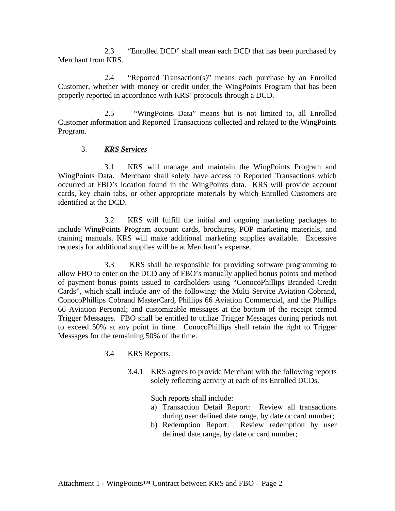2.3 "Enrolled DCD" shall mean each DCD that has been purchased by Merchant from KRS.

 2.4 "Reported Transaction(s)" means each purchase by an Enrolled Customer, whether with money or credit under the WingPoints Program that has been properly reported in accordance with KRS' protocols through a DCD.

2.5 "WingPoints Data" means but is not limited to, all Enrolled Customer information and Reported Transactions collected and related to the WingPoints Program.

#### 3. *KRS Services*

3.1 KRS will manage and maintain the WingPoints Program and WingPoints Data. Merchant shall solely have access to Reported Transactions which occurred at FBO's location found in the WingPoints data. KRS will provide account cards, key chain tabs, or other appropriate materials by which Enrolled Customers are identified at the DCD.

 3.2 KRS will fulfill the initial and ongoing marketing packages to include WingPoints Program account cards, brochures, POP marketing materials, and training manuals. KRS will make additional marketing supplies available. Excessive requests for additional supplies will be at Merchant's expense.

 3.3 KRS shall be responsible for providing software programming to allow FBO to enter on the DCD any of FBO's manually applied bonus points and method of payment bonus points issued to cardholders using "ConocoPhillips Branded Credit Cards", which shall include any of the following: the Multi Service Aviation Cobrand, ConocoPhillips Cobrand MasterCard, Phillips 66 Aviation Commercial, and the Phillips 66 Aviation Personal; and customizable messages at the bottom of the receipt termed Trigger Messages. FBO shall be entitled to utilize Trigger Messages during periods not to exceed 50% at any point in time. ConocoPhillips shall retain the right to Trigger Messages for the remaining 50% of the time.

## 3.4 KRS Reports.

3.4.1 KRS agrees to provide Merchant with the following reports solely reflecting activity at each of its Enrolled DCDs.

Such reports shall include:

- a) Transaction Detail Report: Review all transactions during user defined date range, by date or card number;
- b) Redemption Report: Review redemption by user defined date range, by date or card number;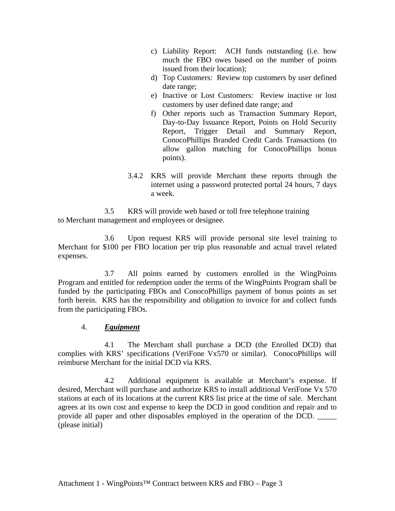- c) Liability Report: ACH funds outstanding (i.e. how much the FBO owes based on the number of points issued from their location);
- d) Top Customers: Review top customers by user defined date range;
- e) Inactive or Lost Customers: Review inactive or lost customers by user defined date range; and
- f) Other reports such as Transaction Summary Report, Day-to-Day Issuance Report, Points on Hold Security Report, Trigger Detail and Summary Report, ConocoPhillips Branded Credit Cards Transactions (to allow gallon matching for ConocoPhillips bonus points).
- 3.4.2 KRS will provide Merchant these reports through the internet using a password protected portal 24 hours, 7 days a week.

3.5 KRS will provide web based or toll free telephone training to Merchant management and employees or designee.

 3.6 Upon request KRS will provide personal site level training to Merchant for \$100 per FBO location per trip plus reasonable and actual travel related expenses.

 3.7 All points earned by customers enrolled in the WingPoints Program and entitled for redemption under the terms of the WingPoints Program shall be funded by the participating FBOs and ConocoPhillips payment of bonus points as set forth herein. KRS has the responsibility and obligation to invoice for and collect funds from the participating FBOs.

## 4. *Equipment*

4.1 The Merchant shall purchase a DCD (the Enrolled DCD) that complies with KRS' specifications (VeriFone Vx570 or similar). ConocoPhillips will reimburse Merchant for the initial DCD via KRS.

4.2 Additional equipment is available at Merchant's expense. If desired, Merchant will purchase and authorize KRS to install additional VeriFone Vx 570 stations at each of its locations at the current KRS list price at the time of sale. Merchant agrees at its own cost and expense to keep the DCD in good condition and repair and to provide all paper and other disposables employed in the operation of the DCD. \_\_\_\_\_ (please initial)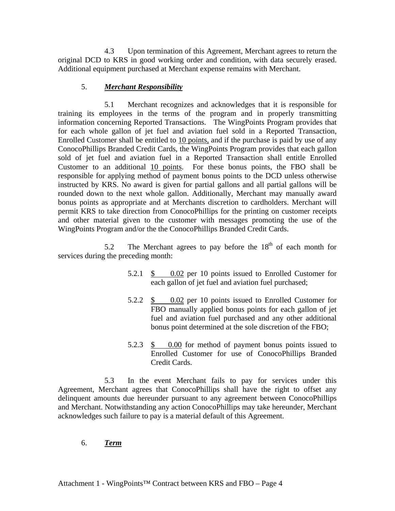4.3 Upon termination of this Agreement, Merchant agrees to return the original DCD to KRS in good working order and condition, with data securely erased. Additional equipment purchased at Merchant expense remains with Merchant.

# 5. *Merchant Responsibility*

 5.1 Merchant recognizes and acknowledges that it is responsible for training its employees in the terms of the program and in properly transmitting information concerning Reported Transactions. The WingPoints Program provides that for each whole gallon of jet fuel and aviation fuel sold in a Reported Transaction, Enrolled Customer shall be entitled to 10 points, and if the purchase is paid by use of any ConocoPhillips Branded Credit Cards, the WingPoints Program provides that each gallon sold of jet fuel and aviation fuel in a Reported Transaction shall entitle Enrolled Customer to an additional 10 points. For these bonus points, the FBO shall be responsible for applying method of payment bonus points to the DCD unless otherwise instructed by KRS. No award is given for partial gallons and all partial gallons will be rounded down to the next whole gallon. Additionally, Merchant may manually award bonus points as appropriate and at Merchants discretion to cardholders. Merchant will permit KRS to take direction from ConocoPhillips for the printing on customer receipts and other material given to the customer with messages promoting the use of the WingPoints Program and/or the the ConocoPhillips Branded Credit Cards.

5.2 The Merchant agrees to pay before the  $18<sup>th</sup>$  of each month for services during the preceding month:

- 5.2.1 \$ 0.02 per 10 points issued to Enrolled Customer for each gallon of jet fuel and aviation fuel purchased;
- 5.2.2 \$ 0.02 per 10 points issued to Enrolled Customer for FBO manually applied bonus points for each gallon of jet fuel and aviation fuel purchased and any other additional bonus point determined at the sole discretion of the FBO;
- 5.2.3 \$ 0.00 for method of payment bonus points issued to Enrolled Customer for use of ConocoPhillips Branded Credit Cards.

 5.3 In the event Merchant fails to pay for services under this Agreement, Merchant agrees that ConocoPhillips shall have the right to offset any delinquent amounts due hereunder pursuant to any agreement between ConocoPhillips and Merchant. Notwithstanding any action ConocoPhillips may take hereunder, Merchant acknowledges such failure to pay is a material default of this Agreement.

## 6. *Term*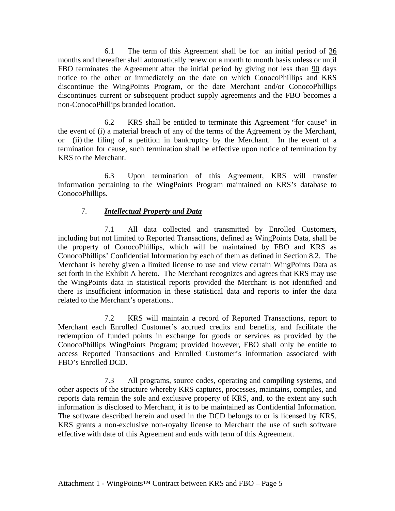6.1 The term of this Agreement shall be for an initial period of 36 months and thereafter shall automatically renew on a month to month basis unless or until FBO terminates the Agreement after the initial period by giving not less than 90 days notice to the other or immediately on the date on which ConocoPhillips and KRS discontinue the WingPoints Program, or the date Merchant and/or ConocoPhillips discontinues current or subsequent product supply agreements and the FBO becomes a non-ConocoPhillips branded location.

 6.2 KRS shall be entitled to terminate this Agreement "for cause" in the event of (i) a material breach of any of the terms of the Agreement by the Merchant, or (ii) the filing of a petition in bankruptcy by the Merchant. In the event of a termination for cause, such termination shall be effective upon notice of termination by KRS to the Merchant.

 6.3 Upon termination of this Agreement, KRS will transfer information pertaining to the WingPoints Program maintained on KRS's database to ConocoPhillips.

## 7. *Intellectual Property and Data*

7.1 All data collected and transmitted by Enrolled Customers, including but not limited to Reported Transactions, defined as WingPoints Data, shall be the property of ConocoPhillips, which will be maintained by FBO and KRS as ConocoPhillips' Confidential Information by each of them as defined in Section 8.2. The Merchant is hereby given a limited license to use and view certain WingPoints Data as set forth in the Exhibit A hereto. The Merchant recognizes and agrees that KRS may use the WingPoints data in statistical reports provided the Merchant is not identified and there is insufficient information in these statistical data and reports to infer the data related to the Merchant's operations..

7.2 KRS will maintain a record of Reported Transactions, report to Merchant each Enrolled Customer's accrued credits and benefits, and facilitate the redemption of funded points in exchange for goods or services as provided by the ConocoPhillips WingPoints Program; provided however, FBO shall only be entitle to access Reported Transactions and Enrolled Customer's information associated with FBO's Enrolled DCD.

7.3 All programs, source codes, operating and compiling systems, and other aspects of the structure whereby KRS captures, processes, maintains, compiles, and reports data remain the sole and exclusive property of KRS, and, to the extent any such information is disclosed to Merchant, it is to be maintained as Confidential Information. The software described herein and used in the DCD belongs to or is licensed by KRS. KRS grants a non-exclusive non-royalty license to Merchant the use of such software effective with date of this Agreement and ends with term of this Agreement.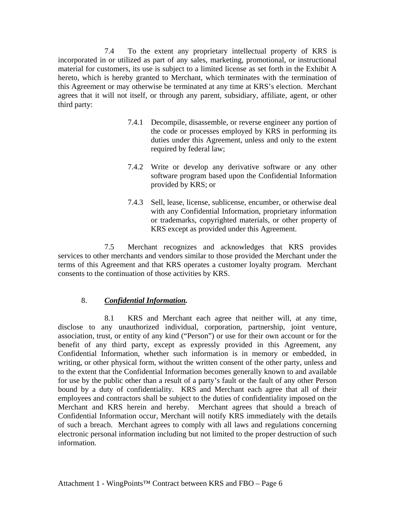7.4 To the extent any proprietary intellectual property of KRS is incorporated in or utilized as part of any sales, marketing, promotional, or instructional material for customers, its use is subject to a limited license as set forth in the Exhibit A hereto, which is hereby granted to Merchant, which terminates with the termination of this Agreement or may otherwise be terminated at any time at KRS's election. Merchant agrees that it will not itself, or through any parent, subsidiary, affiliate, agent, or other third party:

- 7.4.1 Decompile, disassemble, or reverse engineer any portion of the code or processes employed by KRS in performing its duties under this Agreement, unless and only to the extent required by federal law;
- 7.4.2 Write or develop any derivative software or any other software program based upon the Confidential Information provided by KRS; or
- 7.4.3 Sell, lease, license, sublicense, encumber, or otherwise deal with any Confidential Information, proprietary information or trademarks, copyrighted materials, or other property of KRS except as provided under this Agreement.

7.5 Merchant recognizes and acknowledges that KRS provides services to other merchants and vendors similar to those provided the Merchant under the terms of this Agreement and that KRS operates a customer loyalty program. Merchant consents to the continuation of those activities by KRS.

# 8. *Confidential Information.*

8.1 KRS and Merchant each agree that neither will, at any time, disclose to any unauthorized individual, corporation, partnership, joint venture, association, trust, or entity of any kind ("Person") or use for their own account or for the benefit of any third party, except as expressly provided in this Agreement, any Confidential Information, whether such information is in memory or embedded, in writing, or other physical form, without the written consent of the other party, unless and to the extent that the Confidential Information becomes generally known to and available for use by the public other than a result of a party's fault or the fault of any other Person bound by a duty of confidentiality. KRS and Merchant each agree that all of their employees and contractors shall be subject to the duties of confidentiality imposed on the Merchant and KRS herein and hereby. Merchant agrees that should a breach of Confidential Information occur, Merchant will notify KRS immediately with the details of such a breach. Merchant agrees to comply with all laws and regulations concerning electronic personal information including but not limited to the proper destruction of such information.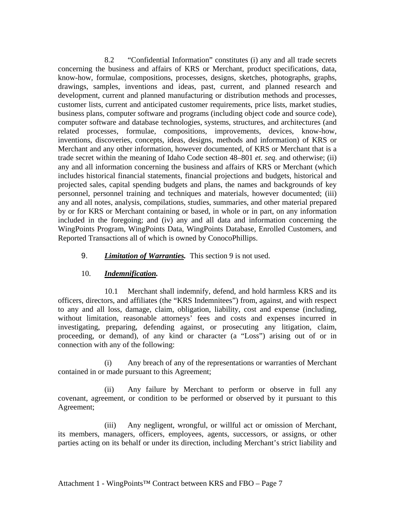8.2 "Confidential Information" constitutes (i) any and all trade secrets concerning the business and affairs of KRS or Merchant, product specifications, data, know-how, formulae, compositions, processes, designs, sketches, photographs, graphs, drawings, samples, inventions and ideas, past, current, and planned research and development, current and planned manufacturing or distribution methods and processes, customer lists, current and anticipated customer requirements, price lists, market studies, business plans, computer software and programs (including object code and source code), computer software and database technologies, systems, structures, and architectures (and related processes, formulae, compositions, improvements, devices, know-how, inventions, discoveries, concepts, ideas, designs, methods and information) of KRS or Merchant and any other information, however documented, of KRS or Merchant that is a trade secret within the meaning of Idaho Code section 48–801 *et. seq.* and otherwise; (ii) any and all information concerning the business and affairs of KRS or Merchant (which includes historical financial statements, financial projections and budgets, historical and projected sales, capital spending budgets and plans, the names and backgrounds of key personnel, personnel training and techniques and materials, however documented; (iii) any and all notes, analysis, compilations, studies, summaries, and other material prepared by or for KRS or Merchant containing or based, in whole or in part, on any information included in the foregoing; and (iv) any and all data and information concerning the WingPoints Program, WingPoints Data, WingPoints Database, Enrolled Customers, and Reported Transactions all of which is owned by ConocoPhillips.

#### 9. *Limitation of Warranties.* This section 9 is not used.

#### 10. *Indemnification.*

10.1 Merchant shall indemnify, defend, and hold harmless KRS and its officers, directors, and affiliates (the "KRS Indemnitees") from, against, and with respect to any and all loss, damage, claim, obligation, liability, cost and expense (including, without limitation, reasonable attorneys' fees and costs and expenses incurred in investigating, preparing, defending against, or prosecuting any litigation, claim, proceeding, or demand), of any kind or character (a "Loss") arising out of or in connection with any of the following:

(i) Any breach of any of the representations or warranties of Merchant contained in or made pursuant to this Agreement;

(ii) Any failure by Merchant to perform or observe in full any covenant, agreement, or condition to be performed or observed by it pursuant to this Agreement;

(iii) Any negligent, wrongful, or willful act or omission of Merchant, its members, managers, officers, employees, agents, successors, or assigns, or other parties acting on its behalf or under its direction, including Merchant's strict liability and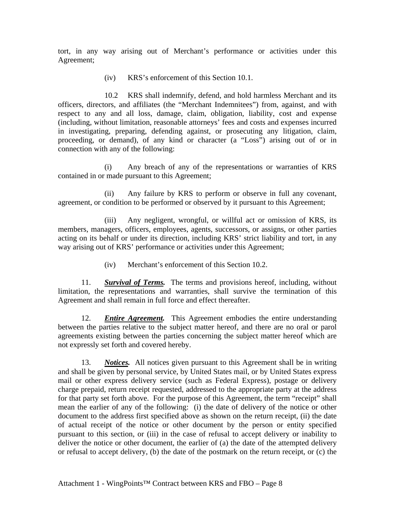tort, in any way arising out of Merchant's performance or activities under this Agreement;

(iv) KRS's enforcement of this Section 10.1.

 10.2 KRS shall indemnify, defend, and hold harmless Merchant and its officers, directors, and affiliates (the "Merchant Indemnitees") from, against, and with respect to any and all loss, damage, claim, obligation, liability, cost and expense (including, without limitation, reasonable attorneys' fees and costs and expenses incurred in investigating, preparing, defending against, or prosecuting any litigation, claim, proceeding, or demand), of any kind or character (a "Loss") arising out of or in connection with any of the following:

(i) Any breach of any of the representations or warranties of KRS contained in or made pursuant to this Agreement;

(ii) Any failure by KRS to perform or observe in full any covenant, agreement, or condition to be performed or observed by it pursuant to this Agreement;

(iii) Any negligent, wrongful, or willful act or omission of KRS, its members, managers, officers, employees, agents, successors, or assigns, or other parties acting on its behalf or under its direction, including KRS' strict liability and tort, in any way arising out of KRS' performance or activities under this Agreement;

(iv) Merchant's enforcement of this Section 10.2.

11. *Survival of Terms.* The terms and provisions hereof, including, without limitation, the representations and warranties, shall survive the termination of this Agreement and shall remain in full force and effect thereafter.

12. *Entire Agreement.* This Agreement embodies the entire understanding between the parties relative to the subject matter hereof, and there are no oral or parol agreements existing between the parties concerning the subject matter hereof which are not expressly set forth and covered hereby.

13. *Notices.* All notices given pursuant to this Agreement shall be in writing and shall be given by personal service, by United States mail, or by United States express mail or other express delivery service (such as Federal Express), postage or delivery charge prepaid, return receipt requested, addressed to the appropriate party at the address for that party set forth above. For the purpose of this Agreement, the term "receipt" shall mean the earlier of any of the following: (i) the date of delivery of the notice or other document to the address first specified above as shown on the return receipt, (ii) the date of actual receipt of the notice or other document by the person or entity specified pursuant to this section, or (iii) in the case of refusal to accept delivery or inability to deliver the notice or other document, the earlier of (a) the date of the attempted delivery or refusal to accept delivery, (b) the date of the postmark on the return receipt, or (c) the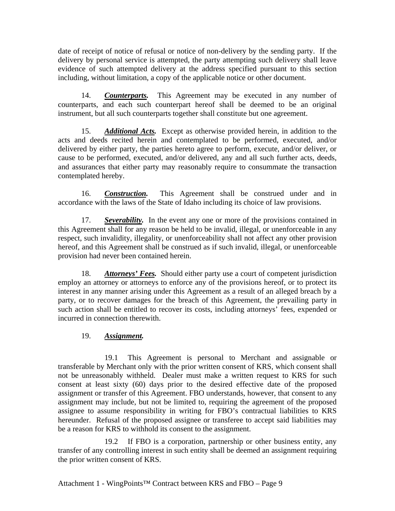date of receipt of notice of refusal or notice of non-delivery by the sending party. If the delivery by personal service is attempted, the party attempting such delivery shall leave evidence of such attempted delivery at the address specified pursuant to this section including, without limitation, a copy of the applicable notice or other document.

14. *Counterparts.* This Agreement may be executed in any number of counterparts, and each such counterpart hereof shall be deemed to be an original instrument, but all such counterparts together shall constitute but one agreement.

15. *Additional Acts.* Except as otherwise provided herein, in addition to the acts and deeds recited herein and contemplated to be performed, executed, and/or delivered by either party, the parties hereto agree to perform, execute, and/or deliver, or cause to be performed, executed, and/or delivered, any and all such further acts, deeds, and assurances that either party may reasonably require to consummate the transaction contemplated hereby.

16. *Construction.* This Agreement shall be construed under and in accordance with the laws of the State of Idaho including its choice of law provisions.

17. *Severability.* In the event any one or more of the provisions contained in this Agreement shall for any reason be held to be invalid, illegal, or unenforceable in any respect, such invalidity, illegality, or unenforceability shall not affect any other provision hereof, and this Agreement shall be construed as if such invalid, illegal, or unenforceable provision had never been contained herein.

18. *Attorneys' Fees.* Should either party use a court of competent jurisdiction employ an attorney or attorneys to enforce any of the provisions hereof, or to protect its interest in any manner arising under this Agreement as a result of an alleged breach by a party, or to recover damages for the breach of this Agreement, the prevailing party in such action shall be entitled to recover its costs, including attorneys' fees, expended or incurred in connection therewith.

## 19. *Assignment.*

 19.1 This Agreement is personal to Merchant and assignable or transferable by Merchant only with the prior written consent of KRS, which consent shall not be unreasonably withheld. Dealer must make a written request to KRS for such consent at least sixty (60) days prior to the desired effective date of the proposed assignment or transfer of this Agreement. FBO understands, however, that consent to any assignment may include, but not be limited to, requiring the agreement of the proposed assignee to assume responsibility in writing for FBO's contractual liabilities to KRS hereunder. Refusal of the proposed assignee or transferee to accept said liabilities may be a reason for KRS to withhold its consent to the assignment.

19.2 If FBO is a corporation, partnership or other business entity, any transfer of any controlling interest in such entity shall be deemed an assignment requiring the prior written consent of KRS.